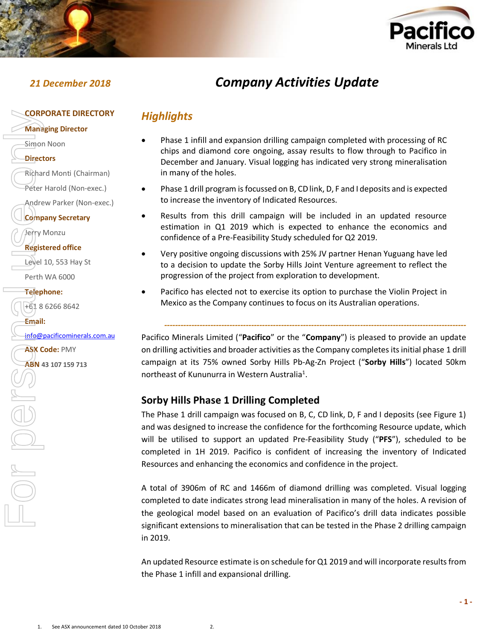



#### **CORPORATE DIRECTORY**

## **Managing Director**

Simon Noon

#### **Directors**

Richard Monti (Chairman)

Peter Harold (Non-exec.)

Andrew Parker (Non-exec.)

**Company Secretary**

Jerry Monzu

**Registered office**

Level 10, 553 Hay St

Perth WA 6000

#### **Telephone:**

+61 8 6266 8642

**Email:**

## [info@pacificominerals.com.au](mailto:info@pacificominerals.com.au)

**ASX Code:** PMY **CORPORATE DIRI**<br> **ABN 25113** Directors<br> **ARRORATE DIRIC SURVERTS REGISTERED AND AND AND AND SURVERT (Non-Andrew Parker (Non-Andrew Parker (Non-Andrew Parker (Non-Andrew Parker (Non-Andrew Parker (Non-Andrew Parker (Non-An** 

# *21 December 2018 Company Activities Update*

## *Highlights*

- Phase 1 infill and expansion drilling campaign completed with processing of RC chips and diamond core ongoing, assay results to flow through to Pacifico in December and January. Visual logging has indicated very strong mineralisation in many of the holes.
- Phase 1 drill program is focussed on B, CD link, D, F and I deposits and is expected to increase the inventory of Indicated Resources.
- Results from this drill campaign will be included in an updated resource estimation in Q1 2019 which is expected to enhance the economics and confidence of a Pre-Feasibility Study scheduled for Q2 2019.
- Very positive ongoing discussions with 25% JV partner Henan Yuguang have led to a decision to update the Sorby Hills Joint Venture agreement to reflect the progression of the project from exploration to development.
- Pacifico has elected not to exercise its option to purchase the Violin Project in Mexico as the Company continues to focus on its Australian operations.

Pacifico Minerals Limited ("**Pacifico**" or the "**Company**") is pleased to provide an update on drilling activities and broader activities as the Company completes its initial phase 1 drill campaign at its 75% owned Sorby Hills Pb-Ag-Zn Project ("**Sorby Hills**") located 50km northeast of Kununurra in Western Australia<sup>1</sup>.

*---------------------------------------------------------------------------------------------------------------*

## **Sorby Hills Phase 1 Drilling Completed**

The Phase 1 drill campaign was focused on B, C, CD link, D, F and I deposits (see Figure 1) and was designed to increase the confidence for the forthcoming Resource update, which will be utilised to support an updated Pre-Feasibility Study ("**PFS**"), scheduled to be completed in 1H 2019. Pacifico is confident of increasing the inventory of Indicated Resources and enhancing the economics and confidence in the project.

A total of 3906m of RC and 1466m of diamond drilling was completed. Visual logging completed to date indicates strong lead mineralisation in many of the holes. A revision of the geological model based on an evaluation of Pacifico's drill data indicates possible significant extensions to mineralisation that can be tested in the Phase 2 drilling campaign in 2019.

An updated Resource estimate is on schedule for Q1 2019 and will incorporate results from the Phase 1 infill and expansional drilling.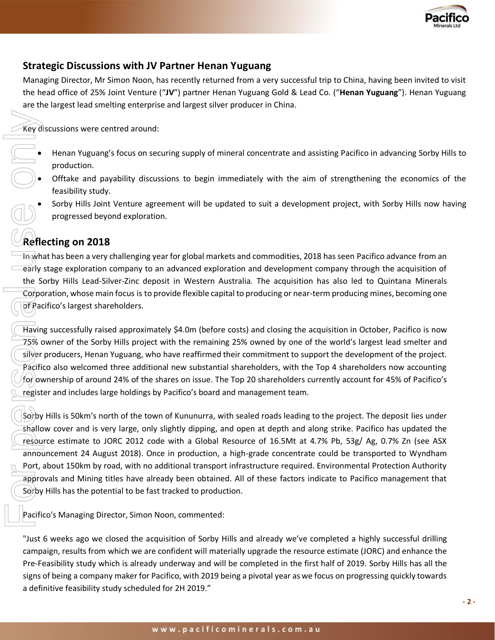

## **Strategic Discussions with JV Partner Henan Yuguang**

Managing Director, Mr Simon Noon, has recently returned from a very successful trip to China, having been invited to visit the head office of 25% Joint Venture ("**JV**") partner Henan Yuguang Gold & Lead Co. ("**Henan Yuguang**"). Henan Yuguang are the largest lead smelting enterprise and largest silver producer in China.

Key discussions were centred around:

- Henan Yuguang's focus on securing supply of mineral concentrate and assisting Pacifico in advancing Sorby Hills to production.
- Offtake and payability discussions to begin immediately with the aim of strengthening the economics of the feasibility study.
- Sorby Hills Joint Venture agreement will be updated to suit a development project, with Sorby Hills now having progressed beyond exploration.

## **Reflecting on 2018**

In what has been a very challenging year for global markets and commodities, 2018 has seen Pacifico advance from an early stage exploration company to an advanced exploration and development company through the acquisition of the Sorby Hills Lead-Silver-Zinc deposit in Western Australia. The acquisition has also led to Quintana Minerals Corporation, whose main focus is to provide flexible capital to producing or near-term producing mines, becoming one of Pacifico's largest shareholders.

Having successfully raised approximately \$4.0m (before costs) and closing the acquisition in October, Pacifico is now 75% owner of the Sorby Hills project with the remaining 25% owned by one of the world's largest lead smelter and silver producers, Henan Yuguang, who have reaffirmed their commitment to support the development of the project. Pacifico also welcomed three additional new substantial shareholders, with the Top 4 shareholders now accounting for ownership of around 24% of the shares on issue. The Top 20 shareholders currently account for 45% of Pacifico's register and includes large holdings by Pacifico's board and management team.

Sorby Hills is 50km's north of the town of Kununurra, with sealed roads leading to the project. The deposit lies under shallow cover and is very large, only slightly dipping, and open at depth and along strike. Pacifico has updated the resource estimate to JORC 2012 code with a Global Resource of 16.5Mt at 4.7% Pb, 53g/ Ag, 0.7% Zn (see ASX announcement 24 August 2018). Once in production, a high-grade concentrate could be transported to Wyndham Port, about 150km by road, with no additional transport infrastructure required. Environmental Protection Authority approvals and Mining titles have already been obtained. All of these factors indicate to Pacifico management that Sorby Hills has the potential to be fast tracked to production. Example of the and payability discussions were centred around:<br> **a** definitive and payability discussions to begine feasibility study.<br> **b** official and payability discussions to begine feasibility study.<br> **Example 10.2018** 

Pacifico's Managing Director, Simon Noon, commented:

"Just 6 weeks ago we closed the acquisition of Sorby Hills and already we've completed a highly successful drilling campaign, results from which we are confident will materially upgrade the resource estimate (JORC) and enhance the Pre-Feasibility study which is already underway and will be completed in the first half of 2019. Sorby Hills has all the signs of being a company maker for Pacifico, with 2019 being a pivotal year as we focus on progressing quickly towards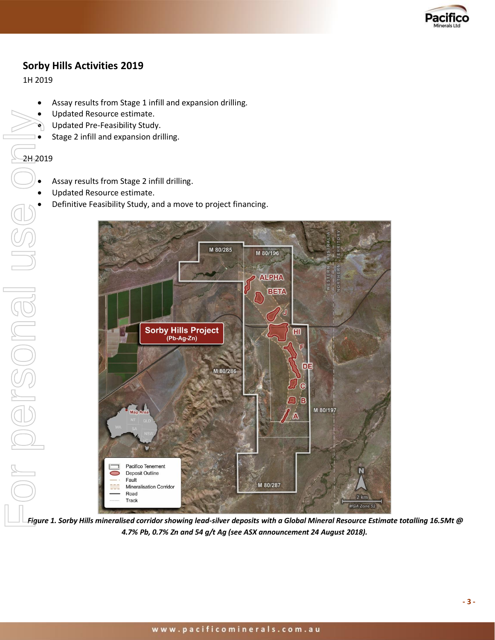

## **Sorby Hills Activities 2019**

1H 2019

- Assay results from Stage 1 infill and expansion drilling.
- Updated Resource estimate.
- Updated Pre-Feasibility Study.
- Stage 2 infill and expansion drilling.

## 2H 2019

- Assay results from Stage 2 infill drilling.
- Updated Resource estimate.
- Definitive Feasibility Study, and a move to project financing.



*4.7% Pb, 0.7% Zn and 54 g/t Ag (see ASX announcement 24 August 2018).*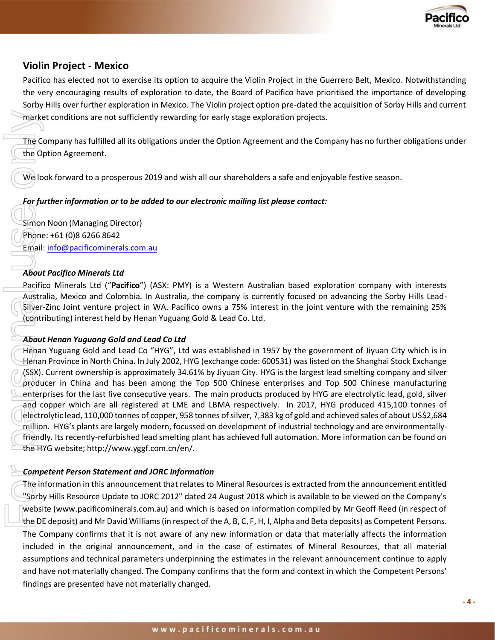

## **Violin Project - Mexico**

Pacifico has elected not to exercise its option to acquire the Violin Project in the Guerrero Belt, Mexico. Notwithstanding the very encouraging results of exploration to date, the Board of Pacifico have prioritised the importance of developing Sorby Hills over further exploration in Mexico. The Violin project option pre-dated the acquisition of Sorby Hills and current market conditions are not sufficiently rewarding for early stage exploration projects.

The Company has fulfilled all its obligations under the Option Agreement and the Company has no further obligations under the Option Agreement.

We look forward to a prosperous 2019 and wish all our shareholders a safe and enjoyable festive season.

## *For further information or to be added to our electronic mailing list please contact:*

Simon Noon (Managing Director) Phone: +61 (0)8 6266 8642 Email: [info@pacificominerals.com.au](mailto:info@pacificominerals.com.au)

## *About Pacifico Minerals Ltd*

Pacifico Minerals Ltd ("**Pacifico**") (ASX: PMY) is a Western Australian based exploration company with interests Australia, Mexico and Colombia. In Australia, the company is currently focused on advancing the Sorby Hills Lead-Silver-Zinc Joint venture project in WA. Pacifico owns a 75% interest in the joint venture with the remaining 25% (contributing) interest held by Henan Yuguang Gold & Lead Co. Ltd.

#### *About Henan Yuguang Gold and Lead Co Ltd*

Henan Yuguang Gold and Lead Co "HYG", Ltd was established in 1957 by the government of Jiyuan City which is in Henan Province in North China. In July 2002, HYG (exchange code: 600531) was listed on the Shanghai Stock Exchange (SSX). Current ownership is approximately 34.61% by Jiyuan City. HYG is the largest lead smelting company and silver producer in China and has been among the Top 500 Chinese enterprises and Top 500 Chinese manufacturing enterprises for the last five consecutive years. The main products produced by HYG are electrolytic lead, gold, silver and copper which are all registered at LME and LBMA respectively. In 2017, HYG produced 415,100 tonnes of electrolytic lead, 110,000 tonnes of copper, 958 tonnes of silver, 7,383 kg of gold and achieved sales of about US\$2,684 million. HYG's plants are largely modern, focussed on development of industrial technology and are environmentallyfriendly. Its recently-refurbished lead smelting plant has achieved full automation. More information can be found on the HYG website; http://www.yggf.com.cn/en/.

## *Competent Person Statement and JORC Information*

The information in this announcement that relates to Mineral Resources is extracted from the announcement entitled "Sorby Hills Resource Update to JORC 2012" dated 24 August 2018 which is available to be viewed on the Company's website (www.pacificominerals.com.au) and which is based on information compiled by Mr Geoff Reed (in respect of the DE deposit) and Mr David Williams (in respect of the A, B, C, F, H, I, Alpha and Beta deposits) as Competent Persons. The Company confirms that it is not aware of any new information or data that materially affects the information included in the original announcement, and in the case of estimates of Mineral Resources, that all material assumptions and technical parameters underpinning the estimates in the relevant announcement continue to apply and have not materially changed. The Company confirms that the form and context in which the Competent Persons' Finance contributions are not sufficiently rewarding for<br>
The Company has fulfilled all its obligations under the<br>
CMP of Direction Agreement.<br>
(We look forward to a prosperous 2019 and wish all<br>
For further information or